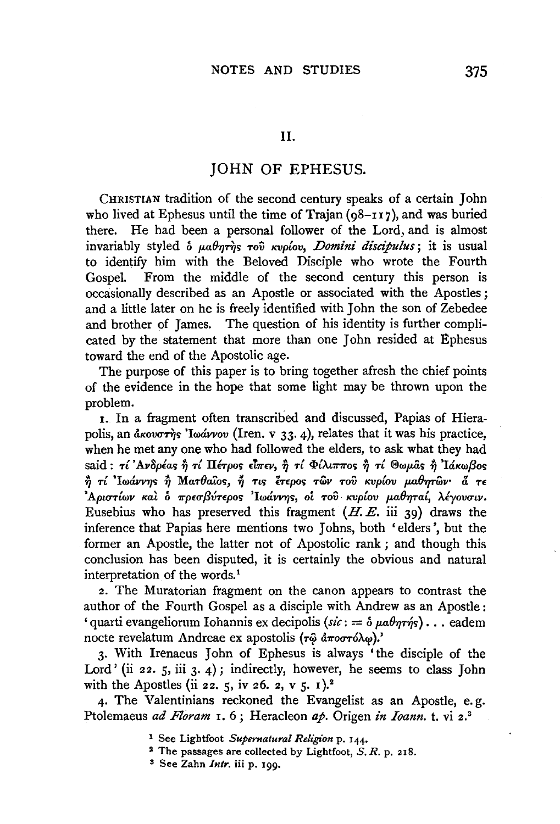## JOHN OF EPHESUS.

CHRISTIAN tradition of the second century speaks of a certain John who lived at Ephesus until the time of Trajan  $(98-117)$ , and was buried there. He had been a personal follower of the Lord, and is almost invariably styled *b*  $\mu_a\theta_T\eta_s$  *Tov Kvplov, Domini discipulus*; it is usual to identify him with the Beloved Disciple who wrote the Fourth Gospel. From the middle of the second century this person is occasionally described as an Apostle or associated with the Apostles ; and a little later on he is freely identified with John the son of Zebedee and brother of James. The question of his identity is further complicated by the statement that more than one John resided at Ephesus toward the end of the Apostolic age.

The purpose of this paper is to bring together afresh the chief points of the evidence in the hope that some light may be thrown upon the problem.

I. In a fragment often transcribed and discussed, Papias of Hierapolis, an  $d$ <sub>K</sub>ov $\sigma r$  $\eta$ <sub>s</sub> 'Iwavvov (Iren. v 33.4), relates that it was his practice, when he met any one who had followed the elders, to ask what they had said :  $\tau i$  'Ανδρέας ή τί Πέτρος είπεν, ή τί Φίλιππος ή τί Θωμας ή Ιάκωβος  $\dot{\hat{\eta}}$  τί 'Ιωάννης  $\dot{\hat{\eta}}$  Mar $\theta$ aΐos,  $\ddot{\eta}$  τις έτερος τῶν τού κυρίου μαθητῶν· α τε 'Αριστίων καὶ ὁ πρεσβύτερος 'Ιωάννης, οἱ τοῦ κυρίου μαθηταί, λέγουσιν. Eusebius who has preserved this fragment  $(H, E, \text{iii } 39)$  draws the inference that Papias here mentions two Johns, both 'elders', but the former an Apostle, the latter not of Apostolic rank ; and though this conclusion has been disputed, it is certainly the obvious and natural interpretation of the words.<sup>1</sup>

2. The Muratorian fragment on the canon appears to contrast the author of the Fourth Gospel as a disciple with Andrew as an Apostle: 'quarti evangeliorum Iohannis ex decipolis  $(si: = \delta \mu a \theta \eta \tau \eta s) \dots$  eadem nocte revelatum Andreae ex apostolis ( $\tau \hat{\omega}$   $d\pi$ o $\sigma \tau \delta \lambda \omega$ ).'

3· With Irenaeus John of Ephesus is always 'the disciple of the Lord' (ii 22. 5, iii 3. 4); indirectly, however, he seems to class John with the Apostles (ii 22. 5, iv 26. 2, v 5. 1).<sup>2</sup>

4· The Valentinians reckoned the Evangelist as an Apostle, e. g. Ptolemaeus *ad Floram* 1. 6; Heracleon *ap.* Origen *in Ioann.* t. vi 2.<sup>3</sup>

1 See Lightfoot *Supernatural Religion* p. 144.

s See Zahn *Intr.* iii p. 199•

<sup>2</sup> The passages are collected by Lightfoot, *S. R.* p. 218.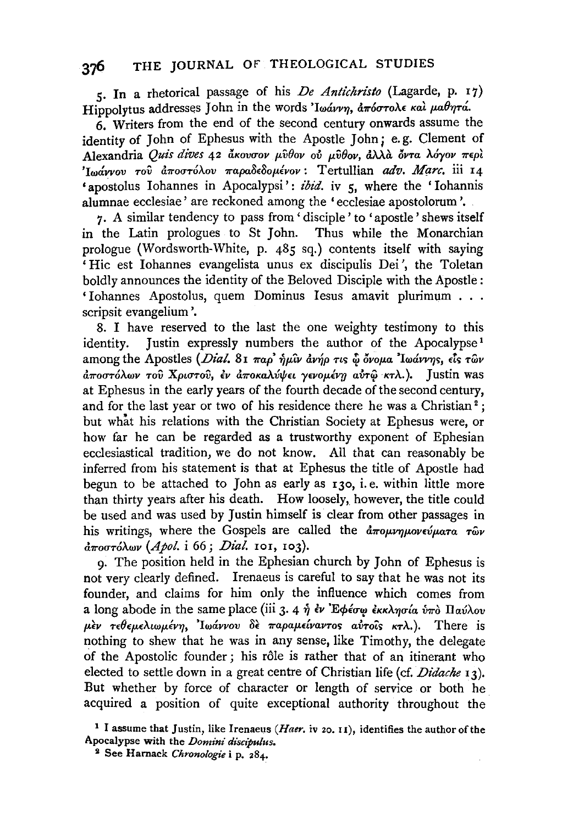5. In a rhetorical passage of his *De Antichristo* (Lagarde, p. 17) Hippolytus addresses John in the words '*lwavvn*, arborole και μαθητά.

6. Writers from the end of the second century onwards assume the identity of John of Ephesus with the Apostle John; e.g. Clement of Alexandria *Quis dives* 42 *lJ.Kovcrov p.v8ov ov p.v8ov,* &.\.\d. *6vTa Myov* ?rEpl *'Iwavvov του αποστόλου παραδεδομένον: Tertullian adv. Marc.* iii 14 **\*apostolus Iohannes in Apocalypsi**': *ibid.* iv 5, where the 'Iohannis' alumnae ecclesiae' are reckoned among the 'ecclesiae apostolorum '.

7. A similar tendency to pass from ' disciple ' to 'apostle ' shews itself in the Latin prologues to St John. Thus while the Monarchian prologue (Wordsworth-White, p. 485 sq.) contents itself with saying ' Hie est lohannes evangelista unus ex discipulis Dei ', the Toletan boldly announces the identity of the Beloved Disciple with the Apostle: ' lohannes Apostolus, quem Dominus Jesus amavit plurimum . . . scripsit evangelium '.

8. I have reserved to the last the one weighty testimony to this identity. Justin expressly numbers the author of the Apocalypse<sup>1</sup> among the Apostles *(Dial.* 81 παρ' ήμιν ανήρ τις ω όνομα 'Iwάννης, είς των *αποστόλων του Χριστου, εν αποκαλύψει γενομένη αύτω κτλ.*). Justin was at Ephesus in the early years of the fourth decade of the second century, and for the last year or two of his residence there he was a Christian<sup>2</sup>; but what his relations with the Christian Society at Ephesus were, or how far he can be regarded as a trustworthy exponent of Ephesian ecclesiastical tradition, we do not know. All that can reasonably be inferred from his statement is that at Ephesus the title of Apostle had begun to be attached to John as early as 130, i.e. within little more than thirty years after his death. How loosely, however, the title could be used and was used by Justin himself is clear from other passages in his writings, where the Gospels are called the  $d\pi o\mu\nu\eta\mu o\nu\epsilon\dot{\nu}\mu$ *ata*  $\tau\hat{\omega}\nu$  $d$ ποστόλων (Apol. *i* 66; *Dial.* 101, 103).

9· The position held in the Ephesian church by John of Ephesus is not very clearly defined. Irenaeus is careful to say that he was not its founder, and claims for him only the influence which comes from a long abode in the same place (iii 3. 4  $\eta$   $\dot{\epsilon}$   $\nu$  *E* $\phi$  $\epsilon \sigma \omega$   $\dot{\epsilon}$ *KKA* $\eta \sigma \dot{\alpha}$   $\dot{\alpha}$   $\eta$   $\alpha \dot{\alpha}$  $\lambda \dot{\alpha}$  $\mu$ εν τεθεμελιωμένη, Ιωάννου δε παραμείναντος αύτοις κτλ.). There is nothing to shew that he was in any sense, like Timothy, the delegate of the Apostolic founder; his rôle is rather that of an itinerant who elected to settle down in a great centre of Christian life (cf. *Didache* 13). But whether by force of character or length of service or both he acquired a position of quite exceptional authority throughout the

<sup>&</sup>lt;sup>1</sup> I assume that Justin, like Irenaeus *(Haer.* iv 20. 11), identifies the author of the Apocalypse with the *Domini discipulus.* 

<sup>2</sup> See Harnack *Chronologie* i p. 284.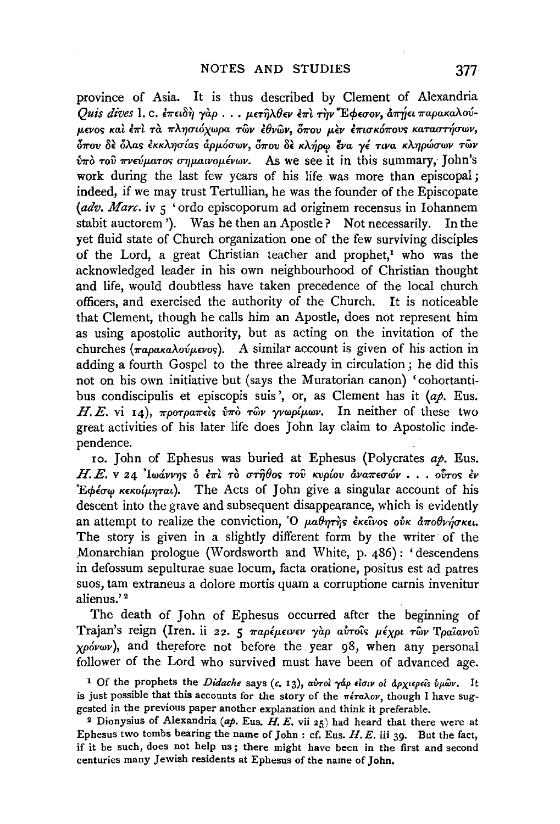province of Asia. It is thus described by Clement of Alexandria *Quis dives 1. c. επειδή γαρ... μετηλθεν επι την* Έφεσον, απήει παρακαλούμενος και έπι τα πλησιόχωρα των έθνων, όπου μεν επισκόπους καταστήσων, όπου δε όλας εκκλησίας άρμόσων, όπου δε κλήρω ένα γέ τινα κληρώσων τῶν  $\delta$ πό του πνεύματος σημαινομένων. As we see it in this summary, John's work during the last few years of his life was more than episcopal; indeed, if we may trust Tertullian, he was the founder of the Episcopate *(adv. Marc.* iv  $\varsigma$  'ordo episcoporum ad originem recensus in Iohannem stabit auctorem '). Was he then an Apostle? Not necessarily. In the yet fluid state of Church organization one of the few surviving disciples of the Lord, a great Christian teacher and prophet,<sup>1</sup> who was the acknowledged leader in his own neighbourhood of Christian thought and life, would doubtless have taken precedence of the local church officers, and exercised the authority of the Church. It is noticeable that Clement, though he calls him an Apostle, does not represent him as using apostolic authority, but as acting on the invitation of the churches ( $\pi$ apaka $\lambda$ ov $\mu$ evos). A similar account is given of his action in adding a fourth Gospel to the three already in circulation ; he did this not on his own initiative but (says the Muratorian canon) 'cohortantibus condiscipulis et episcopis suis', or, as Clement has it (ap. Eus. H. E. vi 14),  $\pi \rho \sigma \tau \rho \alpha \pi \epsilon \delta s$   $\delta \pi \delta \tau \delta \nu \gamma \nu \rho \rho \mu \omega \nu$ . In neither of these two great activities of his later life does John lay claim to Apostolic independence.

10. John of Ephesus was buried at Ephesus (Polycrates *ap.* Eus. H. E. v 24 'Iwavvns ο επι το στήθος του κυρίου αναπεσών *••. ·• ούτος εν* 'E $\phi$ έσω κεκοίμηται). The Acts of John give a singular account of his descent into the grave and subsequent disappearance, which is evidently an attempt to realize the conviction, 'O  $\mu a \theta \eta \tau \eta s$  εκείνος ούκ αποθνήσκει. The story is given in a slightly different form by the writer of the Monarchian prologue (Wordsworth and White, p. 486): 'descendens in defossum sepulturae suae locum, facta oratione, positus est ad patres suos, tam extraneus a dolore mortis quam a corruptione carnis invenitur alienus.' 2

The death of John of Ephesus occurred after the beginning of Trajan's reign (Iren. ii 22. 5  $\pi a\rho \epsilon \mu \epsilon \nu \epsilon \nu \gamma \alpha \rho$  avrois  $\mu \epsilon \chi \rho \iota \tau \omega \nu$  T $\rho a \bar{\iota} a \nu o \hat{\nu}$  $\chi \rho \acute{o} \nu \omega \nu$ ), and therefore not before the year 98, when any personal follower of the Lord who survived must have been of advanced age.

<sup>&</sup>lt;sup>1</sup> Of the prophets the *Didache* says (c. 13), αύτοι γάρ είσιν οι άρχιερειs ύμων. It is just possible that this accounts for the story of the  $\pi \epsilon \tau a \lambda o \nu$ , though I have suggested in the previous paper another explanation and think it preferable.

<sup>&</sup>lt;sup>2</sup> Dionysius of Alexandria (ap. Eus.  $H.E.$  vii 25) had heard that there were at Ephesus two tombs bearing the name of John : cf. Eus.  $H.E.$  iii 39. But the fact, if it be such, does not help us; there might have been in the first and second centuries many Jewish residents at Ephesus of the name of John.